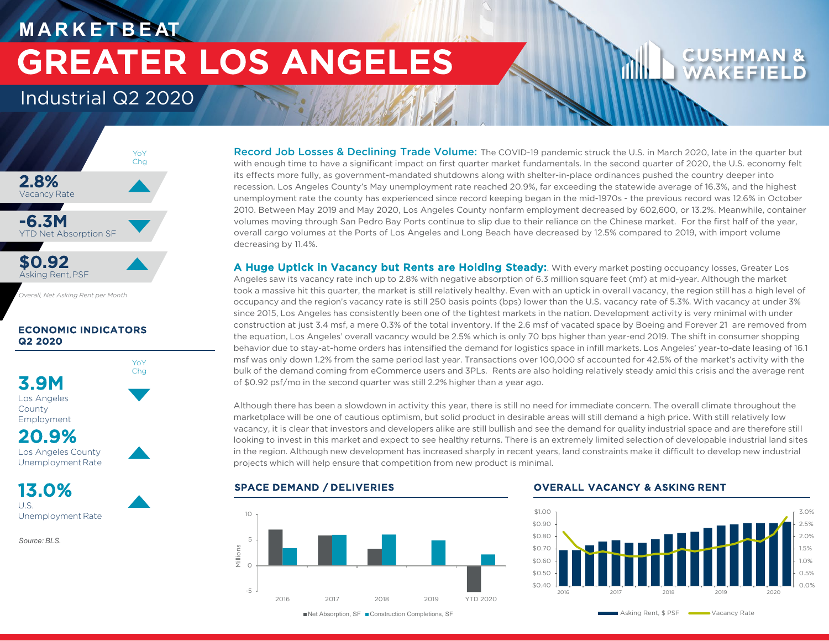# **M A R K E T B E AT** GREATER LOS ANGELES

# Industrial Q2 2020



*Overall, Net Asking Rent per Month*

# ECONOMIC INDICATORS Q2 2020

YoY Chg



Unemployment Rate

13.0% U.S. Unemployment Rate

*Source: BLS.* 

Record Job Losses & Declining Trade Volume: The COVID-19 pandemic struck the U.S. in March 2020, late in the quarter but with enough time to have a significant impact on first quarter market fundamentals. In the second quarter of 2020, the U.S. economy felt its effects more fully, as government-mandated shutdowns along with shelter-in-place ordinances pushed the country deeper into recession. Los Angeles County's May unemployment rate reached 20.9%, far exceeding the statewide average of 16.3%, and the highest unemployment rate the county has experienced since record keeping began in the mid-1970s - the previous record was 12.6% in October 2010. Between May 2019 and May 2020, Los Angeles County nonfarm employment decreased by 602,600, or 13.2%. Meanwhile, container volumes moving through San Pedro Bay Ports continue to slip due to their reliance on the Chinese market. For the first half of the year, overall cargo volumes at the Ports of Los Angeles and Long Beach have decreased by 12.5% compared to 2019, with import volume decreasing by 11.4%.

A Huge Uptick in Vacancy but Rents are Holding Steady: With every market posting occupancy losses, Greater Los Angeles saw its vacancy rate inch up to 2.8% with negative absorption of 6.3 million square feet (mf) at mid-year. Although the market took a massive hit this quarter, the market is still relatively healthy. Even with an uptick in overall vacancy, the region still has a high level of occupancy and the region's vacancy rate is still 250 basis points (bps) lower than the U.S. vacancy rate of 5.3%. With vacancy at under 3% since 2015, Los Angeles has consistently been one of the tightest markets in the nation. Development activity is very minimal with under construction at just 3.4 msf, a mere 0.3% of the total inventory. If the 2.6 msf of vacated space by Boeing and Forever 21 are removed from the equation, Los Angeles' overall vacancy would be 2.5% which is only 70 bps higher than year-end 2019. The shift in consumer shopping behavior due to stay-at-home orders has intensified the demand for logistics space in infill markets. Los Angeles' year-to-date leasing of 16.1 msf was only down 1.2% from the same period last year. Transactions over 100,000 sf accounted for 42.5% of the market's activity with the bulk of the demand coming from eCommerce users and 3PLs. Rents are also holding relatively steady amid this crisis and the average rent of \$0.92 psf/mo in the second quarter was still 2.2% higher than a year ago.

Although there has been a slowdown in activity this year, there is still no need for immediate concern. The overall climate throughout the marketplace will be one of cautious optimism, but solid product in desirable areas will still demand a high price. With still relatively low vacancy, it is clear that investors and developers alike are still bullish and see the demand for quality industrial space and are therefore still looking to invest in this market and expect to see healthy returns. There is an extremely limited selection of developable industrial land sites in the region. Although new development has increased sharply in recent years, land constraints make it difficult to develop new industrial projects which will help ensure that competition from new product is minimal.



■Net Absorption, SF ■ Construction Completions, SF

### SPACE DEMAND / DELIVERIES OVERALL VACANCY & ASKING RENT

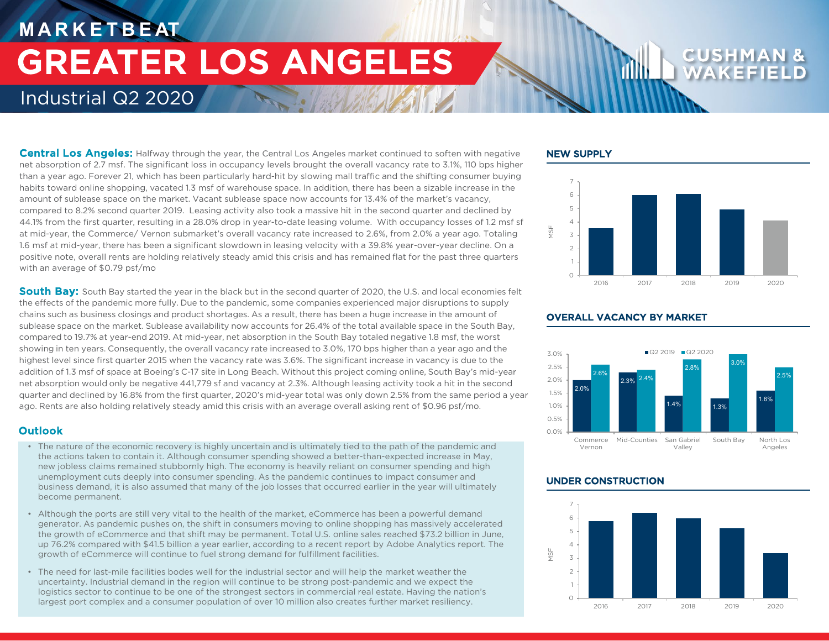# **M A R K E T B E AT** Industrial Q2 2020 GREATER LOS ANGELES

Central Los Angeles: Halfway through the year, the Central Los Angeles market continued to soften with negative net absorption of 2.7 msf. The significant loss in occupancy levels brought the overall vacancy rate to 3.1%, 110 bps higher than a year ago. Forever 21, which has been particularly hard-hit by slowing mall traffic and the shifting consumer buying habits toward online shopping, vacated 1.3 msf of warehouse space. In addition, there has been a sizable increase in the amount of sublease space on the market. Vacant sublease space now accounts for 13.4% of the market's vacancy, compared to 8.2% second quarter 2019. Leasing activity also took a massive hit in the second quarter and declined by 44.1% from the first quarter, resulting in a 28.0% drop in year-to-date leasing volume. With occupancy losses of 1.2 msf sf at mid-year, the Commerce/ Vernon submarket's overall vacancy rate increased to 2.6%, from 2.0% a year ago. Totaling 1.6 msf at mid-year, there has been a significant slowdown in leasing velocity with a 39.8% year-over-year decline. On a positive note, overall rents are holding relatively steady amid this crisis and has remained flat for the past three quarters with an average of \$0.79 psf/mo

South Bay: South Bay started the year in the black but in the second quarter of 2020, the U.S. and local economies felt the effects of the pandemic more fully. Due to the pandemic, some companies experienced major disruptions to supply chains such as business closings and product shortages. As a result, there has been a huge increase in the amount of sublease space on the market. Sublease availability now accounts for 26.4% of the total available space in the South Bay, compared to 19.7% at year-end 2019. At mid-year, net absorption in the South Bay totaled negative 1.8 msf, the worst showing in ten years. Consequently, the overall vacancy rate increased to 3.0%, 170 bps higher than a year ago and the highest level since first quarter 2015 when the vacancy rate was 3.6%. The significant increase in vacancy is due to the addition of 1.3 msf of space at Boeing's C-17 site in Long Beach. Without this project coming online, South Bay's mid-year net absorption would only be negative 441,779 sf and vacancy at 2.3%. Although leasing activity took a hit in the second quarter and declined by 16.8% from the first quarter, 2020's mid-year total was only down 2.5% from the same period a year ago. Rents are also holding relatively steady amid this crisis with an average overall asking rent of \$0.96 psf/mo.

## **Outlook**

- The nature of the economic recovery is highly uncertain and is ultimately tied to the path of the pandemic and the actions taken to contain it. Although consumer spending showed a better-than-expected increase in May, new jobless claims remained stubbornly high. The economy is heavily reliant on consumer spending and high unemployment cuts deeply into consumer spending. As the pandemic continues to impact consumer and business demand, it is also assumed that many of the job losses that occurred earlier in the year will ultimately become permanent.
- Although the ports are still very vital to the health of the market, eCommerce has been a powerful demand generator. As pandemic pushes on, the shift in consumers moving to online shopping has massively accelerated the growth of eCommerce and that shift may be permanent. Total U.S. online sales reached \$73.2 billion in June, up 76.2% compared with \$41.5 billion a year earlier, according to a recent report by Adobe Analytics report. The growth of eCommerce will continue to fuel strong demand for fulfillment facilities.
- The need for last-mile facilities bodes well for the industrial sector and will help the market weather the uncertainty. Industrial demand in the region will continue to be strong post-pandemic and we expect the logistics sector to continue to be one of the strongest sectors in commercial real estate. Having the nation's largest port complex and a consumer population of over 10 million also creates further market resiliency.

### NEW SUPPLY





## OVERALL VACANCY BY MARKET

### UNDER CONSTRUCTION

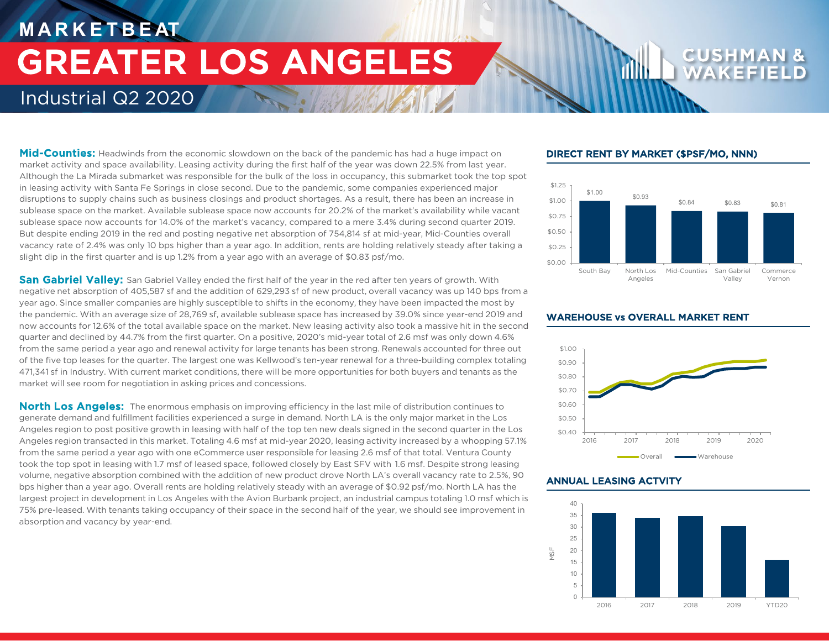# **M A R K E T B E AT** Industrial Q2 2020 GREATER LOS ANGELES

### Mid-Counties: Headwinds from the economic slowdown on the back of the pandemic has had a huge impact on market activity and space availability. Leasing activity during the first half of the year was down 22.5% from last year. Although the La Mirada submarket was responsible for the bulk of the loss in occupancy, this submarket took the top spot in leasing activity with Santa Fe Springs in close second. Due to the pandemic, some companies experienced major disruptions to supply chains such as business closings and product shortages. As a result, there has been an increase in sublease space on the market. Available sublease space now accounts for 20.2% of the market's availability while vacant sublease space now accounts for 14.0% of the market's vacancy, compared to a mere 3.4% during second quarter 2019. But despite ending 2019 in the red and posting negative net absorption of 754,814 sf at mid-year, Mid-Counties overall vacancy rate of 2.4% was only 10 bps higher than a year ago. In addition, rents are holding relatively steady after taking a slight dip in the first quarter and is up 1.2% from a year ago with an average of \$0.83 psf/mo.

San Gabriel Valley: San Gabriel Valley ended the first half of the year in the red after ten years of growth. With negative net absorption of 405,587 sf and the addition of 629,293 sf of new product, overall vacancy was up 140 bps from a year ago. Since smaller companies are highly susceptible to shifts in the economy, they have been impacted the most by the pandemic. With an average size of 28,769 sf, available sublease space has increased by 39.0% since year-end 2019 and now accounts for 12.6% of the total available space on the market. New leasing activity also took a massive hit in the second quarter and declined by 44.7% from the first quarter. On a positive, 2020's mid-year total of 2.6 msf was only down 4.6% from the same period a year ago and renewal activity for large tenants has been strong. Renewals accounted for three out of the five top leases for the quarter. The largest one was Kellwood's ten-year renewal for a three-building complex totaling 471,341 sf in Industry. With current market conditions, there will be more opportunities for both buyers and tenants as the market will see room for negotiation in asking prices and concessions.

North Los Angeles: The enormous emphasis on improving efficiency in the last mile of distribution continues to generate demand and fulfillment facilities experienced a surge in demand. North LA is the only major market in the Los Angeles region to post positive growth in leasing with half of the top ten new deals signed in the second quarter in the Los Angeles region transacted in this market. Totaling 4.6 msf at mid-year 2020, leasing activity increased by a whopping 57.1% from the same period a year ago with one eCommerce user responsible for leasing 2.6 msf of that total. Ventura County took the top spot in leasing with 1.7 msf of leased space, followed closely by East SFV with 1.6 msf. Despite strong leasing volume, negative absorption combined with the addition of new product drove North LA's overall vacancy rate to 2.5%, 90 bps higher than a year ago. Overall rents are holding relatively steady with an average of \$0.92 psf/mo. North LA has the largest project in development in Los Angeles with the Avion Burbank project, an industrial campus totaling 1.0 msf which is 75% pre-leased. With tenants taking occupancy of their space in the second half of the year, we should see improvement in absorption and vacancy by year-end.

### DIRECT RENT BY MARKET (\$PSF/MO, NNN)





### ANNUAL LEASING ACTVITY



# WAREHOUSE vs OVERALL MARKET RENT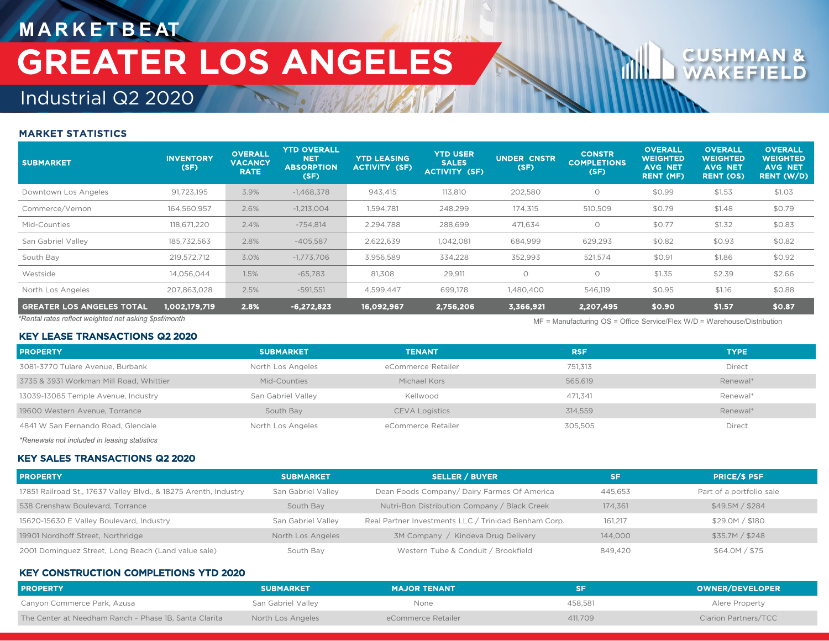# **M A R K E T B E AT** GREATER LOS ANGELES

# Industrial Q2 2020

# MARKET STATISTICS

| <b>SUBMARKET</b>                                                                                                                    | <b>INVENTORY</b><br>(SF) | <b>OVERALL</b><br><b>VACANCY</b><br><b>RATE</b> | <b>YTD OVERALL</b><br><b>NET</b><br><b>ABSORPTION</b><br>(SF) | <b>YTD LEASING</b><br><b>ACTIVITY (SF)</b> | <b>YTD USER</b><br><b>SALES</b><br><b>ACTIVITY (SF)</b> | UNDER CNSTR<br>(SF) | <b>CONSTR</b><br><b>COMPLETIONS</b><br>(SF) | <b>OVERALL</b><br>WEIGHTED<br><b>AVG NET</b><br>RENT (MF) | <b>OVERALL</b><br><b>WEIGHTED</b><br><b>AVG NET</b><br><b>RENT (OS)</b> | <b>OVERALL</b><br><b>WEIGHTED</b><br><b>AVG NET</b><br><b>RENT (W/D)</b> |
|-------------------------------------------------------------------------------------------------------------------------------------|--------------------------|-------------------------------------------------|---------------------------------------------------------------|--------------------------------------------|---------------------------------------------------------|---------------------|---------------------------------------------|-----------------------------------------------------------|-------------------------------------------------------------------------|--------------------------------------------------------------------------|
| Downtown Los Angeles                                                                                                                | 91,723,195               | 3.9%                                            | $-1,468,378$                                                  | 943,415                                    | 113,810                                                 | 202,580             | $\circ$                                     | \$0.99                                                    | \$1.53                                                                  | \$1.03                                                                   |
| Commerce/Vernon                                                                                                                     | 164,560,957              | 2.6%                                            | $-1,213,004$                                                  | 1,594,781                                  | 248,299                                                 | 174,315             | 510,509                                     | \$0.79                                                    | \$1.48                                                                  | \$0.79                                                                   |
| Mid-Counties                                                                                                                        | 118,671,220              | 2.4%                                            | $-754,814$                                                    | 2,294,788                                  | 288,699                                                 | 471,634             | $\circ$                                     | \$0.77                                                    | \$1.32                                                                  | \$0.83                                                                   |
| San Gabriel Valley                                                                                                                  | 185,732,563              | 2.8%                                            | $-405,587$                                                    | 2,622,639                                  | 1,042,081                                               | 684,999             | 629,293                                     | \$0.82                                                    | \$0.93                                                                  | \$0.82                                                                   |
| South Bay                                                                                                                           | 219,572,712              | 3.0%                                            | $-1,773,706$                                                  | 3,956,589                                  | 334,228                                                 | 352,993             | 521,574                                     | \$0.91                                                    | \$1.86                                                                  | \$0.92                                                                   |
| Westside                                                                                                                            | 14,056,044               | 1.5%                                            | $-65,783$                                                     | 81,308                                     | 29,911                                                  | $\circ$             | $\circ$                                     | \$1.35                                                    | \$2.39                                                                  | \$2.66                                                                   |
| North Los Angeles                                                                                                                   | 207,863,028              | 2.5%                                            | $-591,551$                                                    | 4,599,447                                  | 699,178                                                 | 1,480,400           | 546,119                                     | \$0.95                                                    | \$1.16                                                                  | \$0.88                                                                   |
| <b>GREATER LOS ANGELES TOTAL</b>                                                                                                    | 1,002,179,719            | 2.8%                                            | $-6,272,823$                                                  | 16,092,967                                 | 2,756,206                                               | 3,366,921           | 2,207,495                                   | \$0.90                                                    | \$1.57                                                                  | \$0.87                                                                   |
| *Rental rates reflect weighted net asking \$psf/month<br>$MF =$ Manufacturing OS = Office Service/Flex W/D = Warehouse/Distribution |                          |                                                 |                                                               |                                            |                                                         |                     |                                             |                                                           |                                                                         |                                                                          |

| <b>KEY LEASE TRANSACTIONS Q2 2020</b>   |                    |                       |            |             |  |  |
|-----------------------------------------|--------------------|-----------------------|------------|-------------|--|--|
| <b>PROPERTY</b>                         | <b>SUBMARKET</b>   | <b>TENANT</b>         | <b>RSF</b> | <b>TYPE</b> |  |  |
| 3081-3770 Tulare Avenue, Burbank        | North Los Angeles  | eCommerce Retailer    | 751.313    | Direct      |  |  |
| 3735 & 3931 Workman Mill Road, Whittier | Mid-Counties       | Michael Kors          | 565.619    | Renewal*    |  |  |
| 13039-13085 Temple Avenue, Industry     | San Gabriel Valley | Kellwood              | 471.341    | Renewal*    |  |  |
| 19600 Western Avenue, Torrance          | South Bay          | <b>CEVA Logistics</b> | 314.559    | Renewal*    |  |  |
| 4841 W San Fernando Road, Glendale      | North Los Angeles  | eCommerce Retailer    | 305.505    | Direct      |  |  |
|                                         |                    |                       |            |             |  |  |

*\*Renewals not included in leasing statistics*

## KEY SALES TRANSACTIONS Q2 2020

| <b>PROPERTY</b>                                                  | <b>SUBMARKET</b>   | <b>SELLER / BUYER</b>                                | <b>SF</b> | <b>PRICE/S PSF</b>       |
|------------------------------------------------------------------|--------------------|------------------------------------------------------|-----------|--------------------------|
| 17851 Railroad St., 17637 Valley Blvd., & 18275 Arenth, Industry | San Gabriel Valley | Dean Foods Company/Dairy Farmes Of America           | 445.653   | Part of a portfolio sale |
| 538 Crenshaw Boulevard, Torrance                                 | South Bay          | Nutri-Bon Distribution Company / Black Creek         | 174.361   | \$49.5M / \$284          |
| 15620-15630 E Valley Boulevard, Industry                         | San Gabriel Valley | Real Partner Investments LLC / Trinidad Benham Corp. | 161.217   | \$29.0M / \$180          |
| 19901 Nordhoff Street, Northridge                                | North Los Angeles  | 3M Company / Kindeva Drug Delivery                   | 144,000   | \$35.7M / \$248          |
| 2001 Dominguez Street, Long Beach (Land value sale)              | South Bay          | Western Tube & Conduit / Brookfield                  | 849.420   | \$64.0M / \$75           |

### KEY CONSTRUCTION COMPLETIONS YTD 2020

| <b>PROPERTY</b>                                       | <b>SUBMARKET</b>   | <b>MAJOR TENANT</b> |         | <b>OWNER/DEVELOPER</b> |
|-------------------------------------------------------|--------------------|---------------------|---------|------------------------|
| Canyon Commerce Park, Azusa                           | San Gabriel Valley | None                | 458.581 | Alere Property         |
| The Center at Needham Ranch - Phase 1B, Santa Clarita | North Los Angeles  | eCommerce Retailer  | 411,709 | Clarion Partners/TCC   |